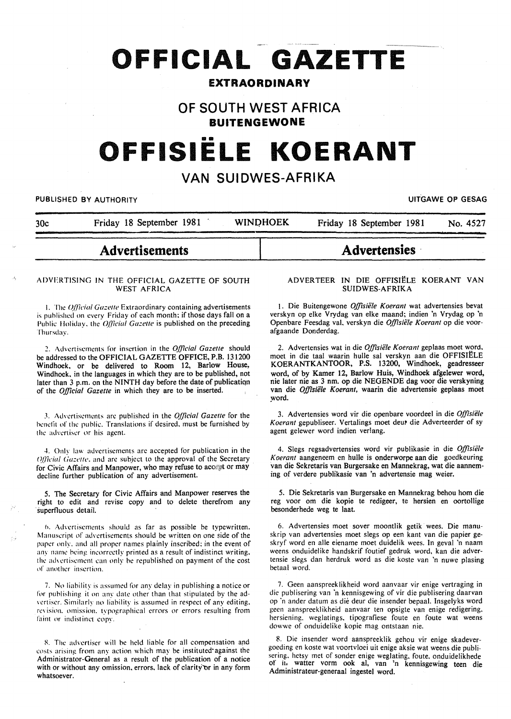# **OFFICIAL GAZETTE**

# **EXTRAORDINARY**

# **OF SOUTH WEST AFRICA BUITENGEWONE**

# **OFFISIELE KOERANT**

# **VAN SUIDWES-AFRIKA**

#### PUBLISHED BY AUTHORITY **EXECUTE A SECURE 2018 THE SECURE 2019 OF GESAG**

| 30c                                                         | Friday 18 September 1981                                     | <b>WINDHOEK</b> |                                                          | Friday 18 September 1981                                            |  |  | No. 4527 |
|-------------------------------------------------------------|--------------------------------------------------------------|-----------------|----------------------------------------------------------|---------------------------------------------------------------------|--|--|----------|
| <b>Advertisements</b>                                       |                                                              |                 | <b>Advertensies</b>                                      |                                                                     |  |  |          |
| ADVERTISING IN THE OFFICIAL GAZETTE OF SOUTH<br>WEST AFRICA |                                                              |                 | ADVERTEER IN DIE OFFISIËLE KOERANT VAN<br>SUIDWES-AFRIKA |                                                                     |  |  |          |
|                                                             | The Official Gazette Extraordinary containing advertisements |                 |                                                          | 1. Die Buitengewone <i>Offisiële Koerant</i> wat advertensies bevat |  |  |          |

I. The: *q/licial Ga::elle* Extraordinary containing advertisements is published on every Friday of each month: if those days fall on a Public Holiday, the *Official Gazette* is published on the preceding Thursday.

~. Advertisements for insertion in the *Official Gazelle* should be addressed to the OFFICIAL GAZETTE OFFICE, P.B. 131200 Windhoek, or be delivered to Room 12, Barlow House, Windhoek. in the languages in which they are to be published, not later than 3 p.m. on the NINTH day before the date of publicatiqn of the *Official Gazette* in which they are to be inserted.

.\. Advc:rtisc:mcnts arc published in the *Official Gazette* for the benefit of the public. Translations if desired, must be furnished by the advertiser or his agent.

4. Only law advertisements are accepted for publication in the Official Gazette, and are subject to the approval of the Secretary for Civic Affairs and Manpower, who may refuse to accest or may decline further publication of any advertisement.

5. The Secretary for Civic Affairs and Manpower reserves the right to edit and revise copy and to delete therefrom any superfluous detail.

6. Advertisements should as far as possible be typewritten. Manuscript of advertisements should be written on one side of the paper only, and all proper names plainly inscribed; in the event of any name being incorrectly printed as a result of indistinct writing. the advertisement can only be republished on payment of the cost of another insertion.

7. No liability is assumed for any delay in publishing a notice or for publishing it on any date other than that stipulated by the advertiser. Similarly no liability is assumed in respect of any editing. revision, omission. typographical errors or errors resulting from faint or indistinct copy.

8. The advertiser will be held liable for all compensation and costs arising from any action which may be instituted against the Administrator-General as a result of the publication of a notice with or without any omission, errors, lack of clarity or in any form whatsoever.

1. Die Buitengewone Offisiële Koerant wat advertensies bevat verskyn op elke Vrydag van elke maand; indien 'n Vrydag op 'n Openbare Feesdag val. verskyn die *Offisiiile Koerant* op die voorafgaande Donderdag.

2. Advertensies wat in die *Offisiiile Koerant* geplaas moet word. moet in die taal waarin hulle sal verskyn aan die OFFISIELE KOERANTKANTOOR, P.S. 13200, Windhoek, geadresseer word, of by Kamer 12, Barlow Huis, Windhoek afgelewer word, nie later nie as 3 nm. op die NEGENDE dag voor die verskyning van die *Offisiiile Koerant,* waarin die advertensie geplaas moet word.

3. Advertensies word vir die openbare voordeel in die *Offisiiile*  Koerant gepubliseer. Vertalings moet deut die Adverteerder of sy agent gelewer word indien verlang.

4. Slegs regsadvertensies word vir publikasie in die *Offisiiile K oerant* aangeneem en hulle is onderworpe aan die goedkeuring van die Sekretaris van Burgersake en Mannekrag, wat die aanneming of verdere publikasie van 'n advertensie mag weier.

5. Die Sekretaris van Burgersake en Mannekrag behou hom die reg voor om die kopie te redigeer, te hersien en oortollige besonderhede weg te laat.

6. Advertensies moet sover moontlik getik wees. Die manuskrip van advertensies moet slegs op een kant van die papier geskryf word en aile eiename moet duidelik wees. In geval 'n naam weens onduidelike handskrif foutief gedruk word, kan die advertensie slegs dan herdruk word as die koste van 'n nuwe plasing betaal word.

7. Geen aanspreeklikheid word aanvaar vir enige vertraging in die publisering van 'n kennisgewing of vir die publisering daarvan op 'n ander datum as die deur die insender bepaal. Insgelyks word geen aanspreeklikheid aanvaar ten opsigte van enige redigering. hersiening. weglatings. tipografiese foute en foute wat weens dowwe of onduidelike kopie mag ontstaan nie.

8. Die insender word aanspreeklik gehou vir enige skadevergoeding en koste wat voortvloei uit enige aksie wat weens die publisering. hetsy met of sonder enige weglating. foute. onduidelikhede of it. watter vorm ook al, van 'n kennisgewing teen die Administrateur-generaal ingestel word.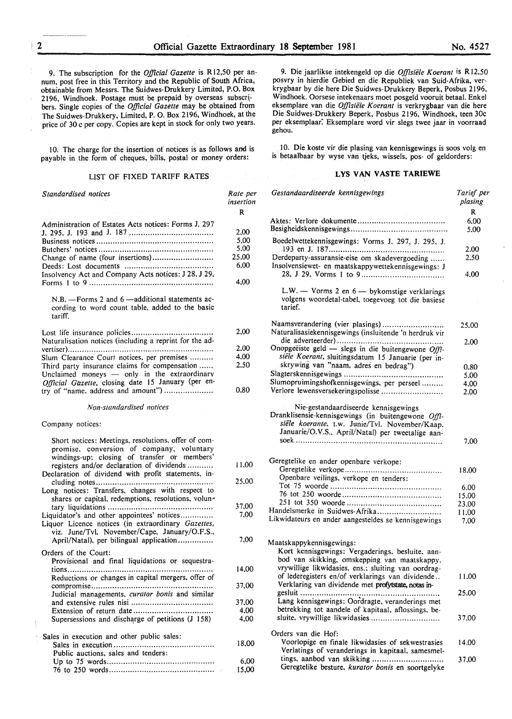9. The subscription for the *Official Gazette* is R 12,50 per annum, post free in this Territory and the Republic of South Africa, obtainable from Messrs. The Suidwes-Drukkery Limited, P.O. Box 2196, Windhoek. Postage must be prepaid by overseas subscribers. Single copies of the *Official Gazette* may be obtained from The Suidwes-Drukkery, Limited, P. 0. Box 2196, Windhoek, at the price of 30 c per copy. Copies are kept in stock for only two years.

10. The charge for the insertion of notices is as follows and is payable in the form of cheques, bills, postal or money orders:

#### LIST OF FIXED TARIFF RATES

| Standardised notices                                                                                                                                                                          | Rate per<br>insertion |
|-----------------------------------------------------------------------------------------------------------------------------------------------------------------------------------------------|-----------------------|
|                                                                                                                                                                                               | - R                   |
| Administration of Estates Acts notices: Forms J. 297                                                                                                                                          |                       |
|                                                                                                                                                                                               | 2,00                  |
|                                                                                                                                                                                               | 5,00                  |
|                                                                                                                                                                                               | 5,00                  |
| Change of name (four insertions)                                                                                                                                                              | 25,00                 |
|                                                                                                                                                                                               | 6,00                  |
| Insolvency Act and Company Acts notices: J 28, J 29,                                                                                                                                          | 4,00                  |
| N.B. - Forms 2 and 6 - additional statements ac-<br>cording to word count table, added to the basic<br>tariff.                                                                                |                       |
|                                                                                                                                                                                               | 2,00                  |
| Naturalisation notices (including a reprint for the ad-                                                                                                                                       |                       |
|                                                                                                                                                                                               | 2.00                  |
| Slum Clearance Court notices, per premises                                                                                                                                                    | 4.00                  |
| Third party insurance claims for compensation<br>Unclaimed moneys - only in the extraordinary<br>Official Gazette, closing date 15 January (per en-                                           | 2.50                  |
| try of "name, address and amount")                                                                                                                                                            | 0,80                  |
| Non-standardised notices                                                                                                                                                                      |                       |
| Company notices:                                                                                                                                                                              |                       |
| Short notices: Meetings, resolutions, offer of com-<br>promise, conversion of company, voluntary<br>windings-up: closing of transfer or members'<br>registers and/or declaration of dividends | 11.00                 |
| Declaration of dividend with profit statements, in-<br>Long notices: Transfers, changes with respect to                                                                                       | 25,00                 |
| shares or capital, redemptions, resolutions, volun-                                                                                                                                           |                       |
|                                                                                                                                                                                               | 37,00                 |
| Liquidator's and other appointees' notices<br>Liquor Licence notices (in extraordinary Gazettes,<br>viz. June/Tvl, November/Cape, January/O.F.S.,                                             | 7.00                  |
| April/Natal), per bilingual application                                                                                                                                                       | 7,00                  |
| Orders of the Court:                                                                                                                                                                          |                       |
| Provisional and final liquidations or sequestra-                                                                                                                                              | 14,00                 |
| Reductions or changes in capital mergers, offer of                                                                                                                                            | 37,00                 |
| Judicial managements, curator bonis and similar                                                                                                                                               |                       |
|                                                                                                                                                                                               | 37,00                 |
|                                                                                                                                                                                               | 4,00                  |
| Supersessions and discharge of petitions (J 158)                                                                                                                                              | 4,00                  |
| Sales in execution and other public sales:                                                                                                                                                    |                       |
|                                                                                                                                                                                               | 18,00                 |
| Public auctions, sales and tenders:                                                                                                                                                           |                       |
|                                                                                                                                                                                               | 6,00                  |
|                                                                                                                                                                                               | 15,00                 |

9. Die jaarlikse intekengeld op die *Offisiele Koerant* is RI2.50 posvry in hierdie Gebied en die Republiek van Suid-Afrika, verkrygbaar by die here Die Suidwes-Drukkery Beperk, Posbus 2196, Windhoek. Oorsese intekenaars moet posgeld vooruit betaal. Enkel eksemplare van die *Offisiele Koerant* is verkrygbaar van die here Die Suidwes-Drukkery Beperk, Posbus 2196, Windhoek, teen 30c per eksemplaar: Eksemplare word vir slegs twee jaar in voorraad gehou.

10. Die koste vir die plasing van kennisgewings is soos volg en is betaalbaar by wyse van tjeks, wissels, pos- of geldorders:

#### LYS VAN VASTE TARIEWE

| Gestandaardiseerde kennisgewings                                                                                                                                                                  | Tarief per<br>plasing |
|---------------------------------------------------------------------------------------------------------------------------------------------------------------------------------------------------|-----------------------|
|                                                                                                                                                                                                   | R                     |
|                                                                                                                                                                                                   | 6,00                  |
|                                                                                                                                                                                                   | 5,00                  |
| Boedelwettekennisgewings: Vorms J. 297, J. 295, J.                                                                                                                                                |                       |
|                                                                                                                                                                                                   | 2.00                  |
| Derdeparty-assuransie-eise om skadevergoeding<br>Insolvensiewet- en maatskappywettekennisgewings: J                                                                                               | 2,50                  |
|                                                                                                                                                                                                   | 4.00                  |
| L.W. - Vorms 2 en 6 - bykomstige verklarings<br>volgens woordetal-tabel, toegevoeg tot die basiese<br>tarief.                                                                                     |                       |
| Naamsverandering (vier plasings)<br>Naturalisasiekennisgewings (insluitende 'n herdruk vir                                                                                                        | 25,00                 |
|                                                                                                                                                                                                   | 2.00                  |
| Onopgeëiste geld - slegs in die buitengewone Offi-                                                                                                                                                |                       |
| siële Koerant, sluitingsdatum 15 Januarie (per in-                                                                                                                                                |                       |
| skrywing van "naam, adres en bedrag")                                                                                                                                                             | 0.80                  |
|                                                                                                                                                                                                   | 5.00                  |
| Slumopruimingshofkennisgewings, per perseel                                                                                                                                                       | 4,00                  |
| Verlore lewensversekeringspolisse                                                                                                                                                                 | 2.00                  |
| Nie-gestandaardiseerde kennisgewings<br>Dranklisensie-kennisgewings (in buitengewone Offi-<br>siële koerante, t.w. Junie/Tvl. November/Kaap,<br>Januarie/O.V.S., April/Natal) per tweetalige aan- |                       |
|                                                                                                                                                                                                   | 7,00                  |
| Geregtelike en ander openbare verkope:                                                                                                                                                            |                       |
|                                                                                                                                                                                                   | 18.00                 |
| Openbare veilings, verkope en tenders:                                                                                                                                                            |                       |
|                                                                                                                                                                                                   | 6.00                  |
|                                                                                                                                                                                                   | 15.00                 |
| Handelsmerke in Suidwes-Afrika                                                                                                                                                                    | 23.00                 |
| Likwidateurs en ander aangesteldes se kennisgewings                                                                                                                                               | 11.00<br>7,00         |
|                                                                                                                                                                                                   |                       |
| Maatskappykennisgewings:                                                                                                                                                                          |                       |
| Kort kennisgewings: Vergaderings, besluite, aan-                                                                                                                                                  |                       |
| bod van skikking, omskepping van maatskappy,                                                                                                                                                      |                       |
| vrywillige likwidasies, ens.; sluiting van oordrag-                                                                                                                                               |                       |
| of lederegisters en/of verklarings van dividende                                                                                                                                                  | 11.00                 |
| Verklaring van dividende met profytstate, notas in-                                                                                                                                               |                       |
|                                                                                                                                                                                                   | 25.00                 |
| Lang kennisgewings: Oordragte, veranderings met                                                                                                                                                   |                       |
| betrekking tot aandele of kapitaal, aflossings, be-                                                                                                                                               |                       |
| sluite, vrywillige likwidasies                                                                                                                                                                    | 37.00                 |
| Orders van die Hof:                                                                                                                                                                               |                       |
| Voorlopige en finale likwidasies of sekwestrasies                                                                                                                                                 | 14.00                 |
| Verlatings of veranderings in kapitaal, samesmel-                                                                                                                                                 |                       |
| tings, aanbod van skikking                                                                                                                                                                        | 37,00                 |
| Geregtelike besture, kurator bonis en soortgelyke                                                                                                                                                 |                       |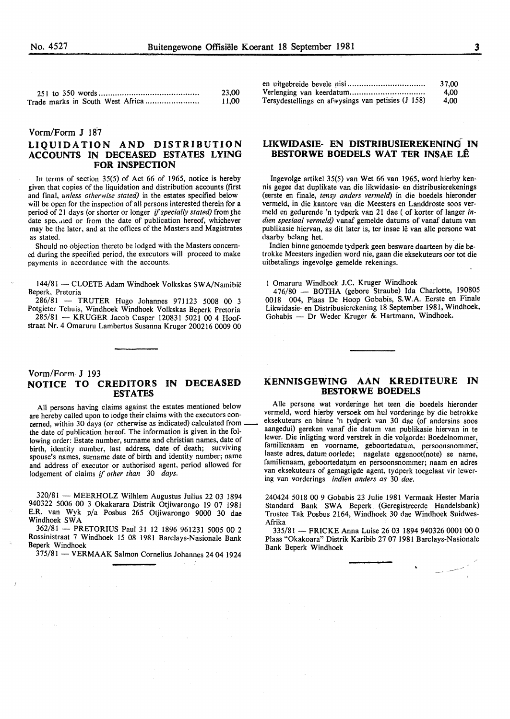|                                  | 23,00 |
|----------------------------------|-------|
| Trade marks in South West Africa | 11.00 |

# Vorm/Form J 187

# LIQUIDATION AND DISTRIBUTION ACCOUNTS IN DECEASED ESTATES LYING FOR INSPECTION

In terms of section 35(5) of Act 66 of 1965, notice is hereby given that copies of the liquidation and distribution accounts (first and final, *unless otherwise stated)* in the estates specified below will be open for the inspection of all persons interested therein for a period of 21 days (or shorter or longer *if specially stated)* from the date speculed or from the date of publication hereof, whichever may be the later, and at the offices of the Masters and Magistrates as stated.

Should no objection thereto be lodged with the Masters concerned during the specified period, the executors will proceed to make payments in accordance with the accounts.

144/81 - CLOETE Adam Windhoek Volkskas SWA/Namibië Beperk, Pretoria

286/81 - TRUTER Hugo Johannes 971123 5008 00 3 Potgieter Tehuis, Windhoek Windhoek Volkskas Beperk Pretoria 285/81 - KRUGER Jacob Casper 120831 5021 00 4 Hoof-

straat Nr. 4 Omaruru Lambertus Susanna Kruger 200216 0009 00

#### Vorm/Form J 193 NOTICE TO CREDITORS IN DECEASED ESTATES

All persons having claims against the estates mentioned below are hereby called upon to lodge their claims with the executors concerned, within 30 days (or otherwise as indicated) calculated fromthe date of publication hereof. The information is given in the following order: Estate number, surname and christian names, date of birth, identity number, last address, date of death; surviving spouse's names, surname date of birth and identity number; name and address of executor or authorised agent, period allowed for lodgement of claims if *other than* 30 *days.* 

 $320/81$  - MEERHOLZ Wilhlem Augustus Julius 22 03 1894 940322 5006 00 3 Okakarara Distrik Otjiwarongo 19 07 1981 E.R. van Wyk p/a Posbus 265 Otjiwarongo 9000 30 dae Windhoek SWA

362/81 - PRETORIUS Paul 31 12 1896 961231 5005 00 2 Rossinistraat 7 Windhoek 15 08 1981 Barclays-Nasionale Bank Beperk Windhoek

375/81 - VERMAAK Salmon Cornelius Johannes 24 04 1924

|                                                    | 37,00 |
|----------------------------------------------------|-------|
|                                                    | 4.00  |
| Tersydestellings en afwysings van petisies (J 158) | 4.00  |

#### LIKWIDASIE- EN DISTRIBUSffiREKENING IN BESTORWE BOEDELS WAT TER INSAE LÊ

Ingevolge artikel 35(5) van Wet 66 van 1965, word hierby kennis gegee dat duplikate van die likwidasie- en distribusierekenings (eerste en finale, *tensy anders vermeld)* in die boedels hieronder vermeld, in die kantore van die Meesters en Landdroste soos vermeld en gedurende 'n tydperk van 21 dae (of korter of Ianger *indien spesiaal vermeld)* vanaf gemelde datums of vanaf datum van publikasie hiervan, as dit later is, ter insae lê van alle persone wat daarby belang het.

lndien binne genoemde tydperk geen besware daarteen by die betrokke Meesters ingedien word nie, gaan die eksekuteurs oor tot die uitbetalings ingevolge gemelde rekenings.

I Omaruru Windhoek J.C. Kruger Windhoek

476/80 - BOTHA (gebore Straube) Ida Charlotte, 190805 0018 004, Plaas De Hoop Gobabis, S.W.A. Eerste en Finale Likwidasie- en Distribusierekening 18 September 1981, Windhoek, Gobabis - Dr Weder Kruger & Hartmann, Windhoek.

#### KENNISGEWING AAN KREDITEURE IN BESTORWE BOEDELS

Aile persone wat vorderinge het teen die boedels hieronder vermeld, word hierby versoek om hul vorderinge by die betrokke eksekuteurs en binne 'n tydperk van 30 dae (of andersins soos aangedui) gereken vanaf die datum van publikasie hiervan in te lewer. Die inligting word verstrek in die volgorde: Boedelnommer, familienaam en voorname, geboortedatum, persoonsnommer; laaste adres, datum oorlede; nagelate eggenoot(note) se name, familienaam, geboortedatum en persoonsnommer; naam en adres van eksekuteurs of gemagtigde agent, tydperk toegelaat vir lewering van vorderings *indien anders as* 30 *dae.* 

240424 5018 00 9 Gobabis 23 Julie 1981 Vermaak Hester Maria Standard Bank SWA Beperk (Geregistreerde Handelsbank) Trustee Tak Posbus 2164, Windhoek 30 dae Windhoek Suidwes-Afrika

335/81- FRICKE Anna Luise 26 03 1894 940326 0001 00 0 Plaas "Okakoara" Distrik Karibib 27 07 1981 Barclays-Nasionale Bank Beperk Windhoek

-·-"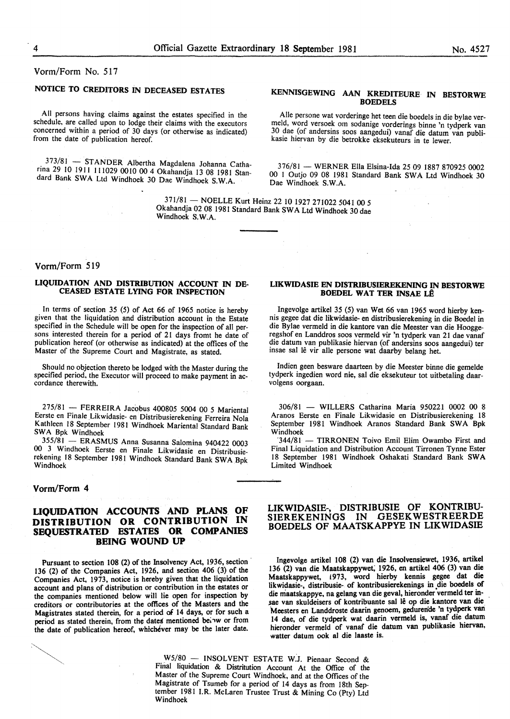Vorm/Form No. 517

# NOTICE TO CREDITORS IN DECEASED ESTATES

All persons having claims against the estates specified in the schedule, are called upon to lodge their claims with the executors concerned within a period of 30 days (or otherwise as indicated) from the date of publication hereof.

373/81 - STANDER Albertha Magdalena Johanna Catharina 29 10 1911 111029 0010 00 4 Okahandja 13 08 1981 Standard Bank SWA Ltd Windhoek 30 Dae Windhoek S.W.A.

#### KENNISGEWING AAN KREDITEURE IN BESTORWE **BOEDELS**

Alle persone wat vorderinge het teen die boedels in die bylae vermeld, word versoek om sodanige vorderings binne 'n tydperk van 30 dae (of andersins soos aangedui) vanaf die datum van publikasie hiervan by die betrokke eksekuteurs in te lewer.

376/81 -WERNER Ella Elsina-Ida 25 09 1887 870925 0002 00 I Outjo 09 08 1981 Standard Bank SW A Ltd Windhoek 30 Dae Windhoek S.W.A.

371/81 - NOELLE Kurt Heinz 22 10 1927 271022 5041 00 5 Okahandja 02 08 1981 Stimdard Bank SW A Ltd Windhoek 30 dae Windhoek S.W.A.

# Vorm/Form 519

#### LIQUIDATION AND DISTRIBUTION ACCOUNT IN DE-CEASED ESTATE LYING FOR INSPECTION

In terms of section 35 (5) of Act 66 of 1965 notice is hereby given that the liquidation and distribution account in the Estate specified in the Schedule will be open for the inspection of all persons interested therein for a period of 21 days fromt he date of publication hereof (or otherwise as indicated) at the offices of the Master of the Supreme Court and Magistrate, as stated.

Should no objection thereto be lodged with the Master during the specified period, the Executor will proceed to make payment in ac- cordance therewith.

275/81 - FERREIRA Jacobus 400805 5004 QO 5 Mariental Eerste en Finale Likwidasie- en Distribusierekening Ferreira Nola Kathleen 18 September 1981 Windhoek Mariental Standard Bank SWA Bpk Windhoek

355/81 - ERASMUS Anna Susanna Salomina 940422 0003 00 3 Windhoek Eerste en Finale Likwidasie en Distribusierekening 18 September 1981 Windhoek Standard Bank SWA Bpk Windhoek

#### Vorm/Form 4

#### LIQUIDATION ACCOUNTS AND PLANS OF DISTRIBUTION OR CONTRIBUTION IN SEQUESTRATED ESTATES OR COMPANIES BEING WOUND UP

Pursuant to section 108 (2) of the Insolvency Act, 1936, section 136 (2) of the Companies Act, 1926, and section 406 (3) of the Companies Act, 1973, notice is hereby given that the liquidation account and plans of distribution or contribution in the estates or the companies mentioned below will lie open for inspection by creditors or contributories at the offices of the Masters and the Magistrates stated therein, for a period of 14 days, or for such a period as stated therein, from the dates mentioned below or from the date of publication hereof, whichever may be the later date.



Ingevolge artikel 35 (5) van Wet 66 van 1965 word hierby kennis gegee dat die likwidasie- en distribusierekening in die Boedel in die Bylae vermeld in die kantore van die Meester van die Hooggeregshof en Landdros soos vermeld vir 'n tydperk van 21 dae vanaf die datum van publikasie hiervan (of andersins soos aangedui) ter insae sal lê vir alle persone wat daarby belang het.

Indien geen besware daarteen by die Meester binne die gemelde tydperk ingedien word nie, sal die eksekuteur tot uitbetaling daarvolgens oorgaan.

306/81 - WILLERS Catharina Maria 950221 0002 00 8 Aranos Eerste en Finale Likwidasie en Distribusierekening 18 September 1981 Windhoek Aranos Standard Bank SWA Bpk Windhoek

'344/81 - TIRRONEN Toivo Emil Elim Owambo First and Final Liquidation and Distribution Account Tirronen Tynne Ester 18 September 1981 Windhoek Oshakati Standard Bank SW A Limited Windhoek

#### LIKWIDASIE-, DISTRIBUSIE OF KONTRIBU-SIEREKENINGS IN GESEKWESTREERDE BOEDELS OF MAATSKAPPYE IN LIKWIDASIE

Ingevolge artikel 108 (2) van die Insolvensiewet, 1936, artiket 136 (2) van die Maatskappywet; 1926, en artiket 406 (3) van die Maatskappywet, !973, word hierby kennis gegee dat die likwidasie-, distribusie- of kontribusierekenings in die boedels of die maatskappye, na gelang van die geval, hieronder vermeld ter insae van skuldeisers of kontribuante sal lê op die kantore van die Meesters en Landdroste daarin genoem, gedurende 'n tydperk van 14 dae, of die tydperk wat daarin vermeld is, vanaf die datum hieronder vermeld of vanaf die datum van publikasie hiervan, watter datum ook al die laaste is.

W5/80 - INSOLVENT ESTATE W.J. Pienaar Second & Final liquidation & Distritution Account At the Office of the Master of the Supreme Court Windhoek, and at the Offices of the Magistrate of Tsumeb for a period of 14 days as from 18th September 1981 I.R. McLaren Trustee Trust & Mining Co (Pty) Ltd Windhoek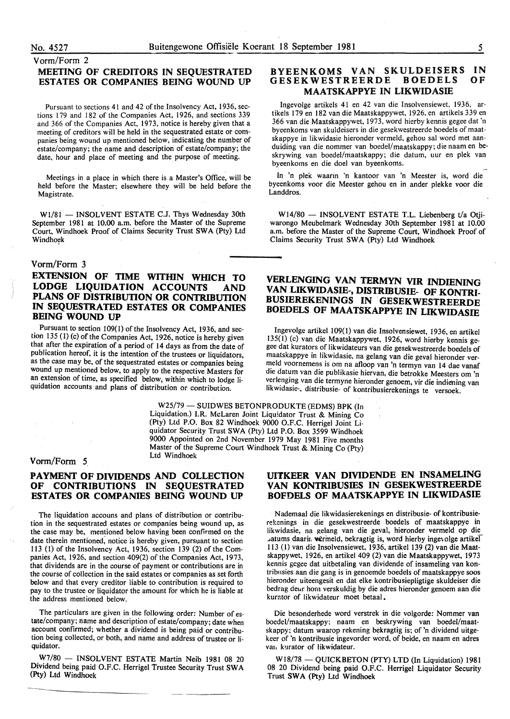#### Vorm/Form 2

## MEETING OF CREDITORS IN SEQUESTRATED ESTATES OR COMPANIES BEING WOUND UP

Pursuant to sections 41 and 42 of the Insolvency Act, 1936, sections 179 and 182 of the Companies Act, 1926, and sections 339 and 366 of the Companies Act, 1973, notice is hereby given that a meeting of creditors will be held in the sequestrated estate or companies being wound up mentioned below, indicating the number of estate/company; the name and description of estate/company; the date, hour and place of meeting and the purpose of meeting.

Meetings in a place in which there is a Master's Office, will be held before the Master; elsewhere they will be held before the Magistrate.

W1/81 - INSOLVENT ESTATE C.J. Thys Wednesday 30th September 1981 at 10.00 a.m. before the Master of the Supreme Court, Windhoek Proof of Claims Security Trust SWA (Pty) Ltd Windhoek

#### Vorm/Form 3

# EXTENSION OF TIME WITHIN WHICH TO LODGE LIQUIDATION ACCOUNTS AND PLANS OF DISTRIBUTION OR CONTRIBUTION IN SEQUESTRATED ESTATES OR COMPANIES BEING WOUND UP

Pursuant to section 109(1) of the Insolvency Act, 1936, and section 135 (1) (c) of the Companies Act, 1926, notice is hereby given that after the expiration of a period of 14 days as from the date of publication hereof, it is the intention of the trustees or liquidators, as the case may be, of the sequestrated estates or companies being wound up mentioned below, to apply to the respective Masters for an extension of time, as specified below, within which to lodge liquidation accounts and plans of distribution or contribution.

#### BYEENKOMS VAN SKULDEISERS IN GESEKWESTREERDE BOEDELS MAATSKAPPYE IN LIKWIDASIE OF

lngevolge artikels 41 en 42 van die Insolvensiewet, 1936, artikels 179 en 182 van die Maatskappywet, 1926, en artikels 339 en 366 van die Maatskappywet, 1973, word hierby kennis gegee dat 'n byeenkoms van skuldeisers in die gesekwestreerde boedels of maatskappye in likwidasie hieronder vermeld, gehou sal word met aanduiding van die nommer van boedel/maatskappy; die naam en beskrywing van boedel/maatskappy; die datum, uur en plek van byeenkoms en die doe! van byeenkoms.

In 'n plek waarin 'n kantoor van 'n Meester is, word die byeenkoms voor die Meester gehou en in ander plekke voor die Landdros.

W14/80 - INSOLVENT ESTATE T.L. Liebenberg t/a Otjiwarongo Meubelmark Wednesday 30th September 1981 at 10.00 a.m. before the Master of the Supreme Court, Windhoek Proof of Claims Security Trust SWA (Pty) Ltd Windhoek

# VERLENGING VAN TERMYN VIR INDIENING VAN LIKWIDASIE-, DISTRIBUSIE- OF KONTRI-BUSIEREKENINGS IN GESEKWESTREERDE BOEDELS OF MAATSKAPPYE IN LIKWIDASIE

Ingevolge artikel 109(1) van die Insolvensiewet, 1936, en artikel 135(1) (c) van die Maatskappywet, 1926, word hierby kennis gegee dat kurators of likwidateurs van die gesekwestreerde boedels of maatskappye in likwidasie, na gelang van die geval hieronder vermeld voornemens is om na afloop van 'n termyn van 14 dae vanaf die datum van die publikasie hiervan, die betrokke Meesters om 'n verlenging van die termyne hieronder genoem, vir die indiening van likwidasie-, distribusie- of kontribusierekenings te versoek.

W25/79 - SUIDWES BETONPRODUKTE (EDMS) BPK (In Liquidation.) I.R. McLaren Joint Liquidator Trust & Mining Co (Pty) Ltd P.O. Box 82 Windhoek 9000 O.F.C. Herrigel Joint Liquidator Security Trust SWA (Pty) Ltd P.O. Box 3599 Windhoek 9000 Appointed on 2nd November 1979 May 1981 Five months Master of the Supreme Court Windhoek Trust &. Mining Co (Pty) Ltd Windhoek

#### Vorm/Form 5

# PAYMENT OF DIVIDENDS AND COLLECTION OF CONTRIBUTIONS IN SEQUESTRATED ESTATES OR COMPANIES BEING WOUND UP

The liquidation accouns and plans of distribution or contribution in the sequestrated estates or companies being wound up, as the case may be, mentioned below having been confirmed on the date therein mentioned; notice is hereby given, pursuant to section 113 (I) of the Insolvency Act, 1936, section 139 (2) of the Companies Act, 1926, and section 409(2) of the Companies Act, 1973, that dividends are in the course of payment or contributions are in the course of collection in the said estates or companies as set forth below and that every creditor liable to contribution is required to pay to the trustee or liquidator the amount for which he is liable at the address mentioned below.

The particulars are given in the following order: Number of estate/company; name and description of estate/company; date when account confirmed; whether a dividend is being paid or contribution being collected, or both, and name and address of trustee or liquidator.

W7/80- INSOLVENT ESTATE Martin Neib 1981 08 20 Dividend being paid O.F.C. Herrigel Trustee Security Trust SWA (Pty) Ltd Windhoek

# UITKEER VAN DIVIDENDE EN INSAMELING VAN KONTRIBUSIES IN GESEKWESTREERDE BOFDELS OF MAATSKAPPYE IN LIKWIDASIE

N ademaal die likwidasierekenings en distribusie- of kontribusierekenings in die gesekwestreerde boedeis of maatskappye in likwidasie, na gelang van die geval, hieronder vermeld op die ..atums daarin, wermeld, bekragtig is, word hierby ingevolge artikel 113 (I) van die Insolvensiewet, 1936, artike1139 (2) van die Maatskappywet, 1926, en artikel 409 (2) van die Maatskappywet, 1973 kennis gcgee dat uitbetaling van dividende of insameling van kontribusies aan die gang is in genoemde boedels of maatskappye soos hieronder uiteengesit en dat elke kontribusiepligtige skuldeiser die bedrag deur hom verskuldig by die adres hieronder genoem aan die kurator of likwidateur moet betaal.

Die besonderhede word verstrek in die volgorde: Nommer van boedel/maatskappy; naam en beskrywing van boedel/maatskappy; datum waarop rekening bekragtig is; of 'n dividend uitgekeer of 'n kontribusie ingevorder word, of beide, en naam en adres van kurator of likwidateur.

W18/78 - QUICKBETON (PTY) LTD (In Liquidation) 1981 08 20 Dividend being paid O.F.C. Herrigel Liquidator Security Trust SWA (Pty) Ltd Windhoek